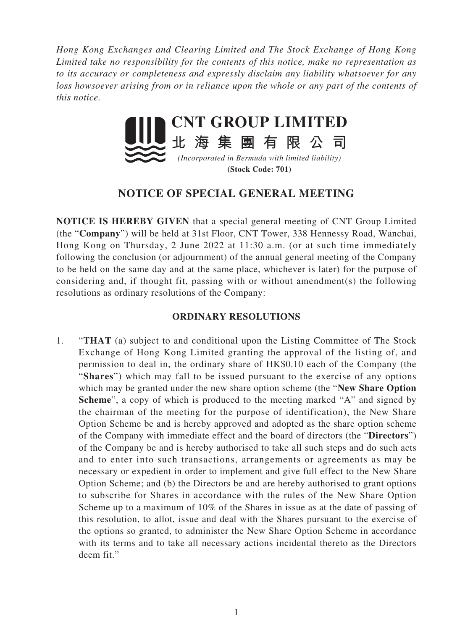*Hong Kong Exchanges and Clearing Limited and The Stock Exchange of Hong Kong Limited take no responsibility for the contents of this notice, make no representation as to its accuracy or completeness and expressly disclaim any liability whatsoever for any loss howsoever arising from or in reliance upon the whole or any part of the contents of this notice.*



**(Stock Code: 701)**

## **NOTICE OF SPECIAL GENERAL MEETING**

**NOTICE IS HEREBY GIVEN** that a special general meeting of CNT Group Limited (the "**Company**") will be held at 31st Floor, CNT Tower, 338 Hennessy Road, Wanchai, Hong Kong on Thursday, 2 June 2022 at 11:30 a.m. (or at such time immediately following the conclusion (or adjournment) of the annual general meeting of the Company to be held on the same day and at the same place, whichever is later) for the purpose of considering and, if thought fit, passing with or without amendment(s) the following resolutions as ordinary resolutions of the Company:

## **ORDINARY RESOLUTIONS**

1. "**THAT** (a) subject to and conditional upon the Listing Committee of The Stock Exchange of Hong Kong Limited granting the approval of the listing of, and permission to deal in, the ordinary share of HK\$0.10 each of the Company (the "**Shares**") which may fall to be issued pursuant to the exercise of any options which may be granted under the new share option scheme (the "**New Share Option Scheme**", a copy of which is produced to the meeting marked "A" and signed by the chairman of the meeting for the purpose of identification), the New Share Option Scheme be and is hereby approved and adopted as the share option scheme of the Company with immediate effect and the board of directors (the "**Directors**") of the Company be and is hereby authorised to take all such steps and do such acts and to enter into such transactions, arrangements or agreements as may be necessary or expedient in order to implement and give full effect to the New Share Option Scheme; and (b) the Directors be and are hereby authorised to grant options to subscribe for Shares in accordance with the rules of the New Share Option Scheme up to a maximum of 10% of the Shares in issue as at the date of passing of this resolution, to allot, issue and deal with the Shares pursuant to the exercise of the options so granted, to administer the New Share Option Scheme in accordance with its terms and to take all necessary actions incidental thereto as the Directors deem fit."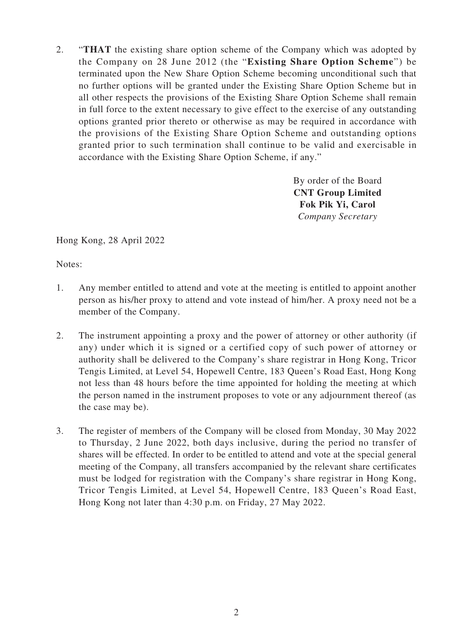2. "**THAT** the existing share option scheme of the Company which was adopted by the Company on 28 June 2012 (the "**Existing Share Option Scheme**") be terminated upon the New Share Option Scheme becoming unconditional such that no further options will be granted under the Existing Share Option Scheme but in all other respects the provisions of the Existing Share Option Scheme shall remain in full force to the extent necessary to give effect to the exercise of any outstanding options granted prior thereto or otherwise as may be required in accordance with the provisions of the Existing Share Option Scheme and outstanding options granted prior to such termination shall continue to be valid and exercisable in accordance with the Existing Share Option Scheme, if any."

> By order of the Board **CNT Group Limited Fok Pik Yi, Carol** *Company Secretary*

Hong Kong, 28 April 2022

Notes:

- 1. Any member entitled to attend and vote at the meeting is entitled to appoint another person as his/her proxy to attend and vote instead of him/her. A proxy need not be a member of the Company.
- 2. The instrument appointing a proxy and the power of attorney or other authority (if any) under which it is signed or a certified copy of such power of attorney or authority shall be delivered to the Company's share registrar in Hong Kong, Tricor Tengis Limited, at Level 54, Hopewell Centre, 183 Queen's Road East, Hong Kong not less than 48 hours before the time appointed for holding the meeting at which the person named in the instrument proposes to vote or any adjournment thereof (as the case may be).
- 3. The register of members of the Company will be closed from Monday, 30 May 2022 to Thursday, 2 June 2022, both days inclusive, during the period no transfer of shares will be effected. In order to be entitled to attend and vote at the special general meeting of the Company, all transfers accompanied by the relevant share certificates must be lodged for registration with the Company's share registrar in Hong Kong, Tricor Tengis Limited, at Level 54, Hopewell Centre, 183 Queen's Road East, Hong Kong not later than 4:30 p.m. on Friday, 27 May 2022.